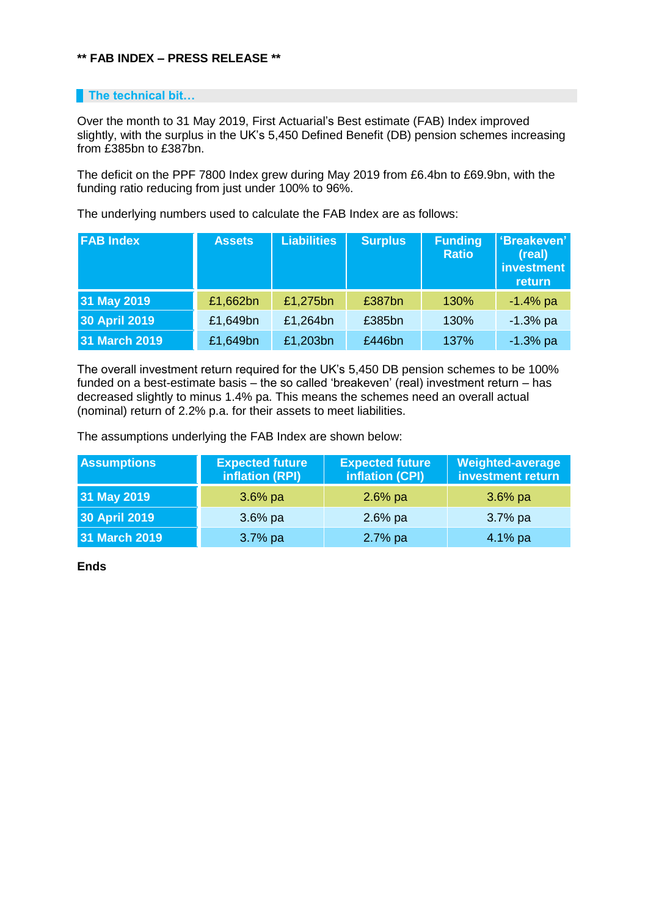## **\*\* FAB INDEX – PRESS RELEASE \*\***

## **The technical bit...**

Over the month to 31 May 2019, First Actuarial's Best estimate (FAB) Index improved slightly, with the surplus in the UK's 5,450 Defined Benefit (DB) pension schemes increasing from £385bn to £387bn.

The deficit on the PPF 7800 Index grew during May 2019 from £6.4bn to £69.9bn, with the funding ratio reducing from just under 100% to 96%.

The underlying numbers used to calculate the FAB Index are as follows:

| <b>FAB Index</b>     | <b>Assets</b> | <b>Liabilities</b> | <b>Surplus</b> | <b>Funding</b><br><b>Ratio</b> | 'Breakeven'<br>(real)<br>investment<br>return |
|----------------------|---------------|--------------------|----------------|--------------------------------|-----------------------------------------------|
| 31 May 2019          | £1,662bn      | £1,275bn           | £387bn         | 130%                           | $-1.4%$ pa                                    |
| <b>30 April 2019</b> | £1,649bn      | £1,264bn           | £385bn         | 130%                           | $-1.3%$ pa                                    |
| 31 March 2019        | £1,649bn      | £1,203bn           | £446bn         | 137%                           | $-1.3%$ pa                                    |

The overall investment return required for the UK's 5,450 DB pension schemes to be 100% funded on a best-estimate basis – the so called 'breakeven' (real) investment return – has decreased slightly to minus 1.4% pa. This means the schemes need an overall actual (nominal) return of 2.2% p.a. for their assets to meet liabilities.

The assumptions underlying the FAB Index are shown below:

| <b>Assumptions</b>   | <b>Expected future</b><br>inflation (RPI) | <b>Expected future</b><br>inflation (CPI) | <b>Weighted-average</b><br>investment return |
|----------------------|-------------------------------------------|-------------------------------------------|----------------------------------------------|
| 31 May 2019          | $3.6\%$ pa                                | $2.6%$ pa                                 | $3.6\%$ pa                                   |
| <b>30 April 2019</b> | $3.6\%$ pa                                | $2.6%$ pa                                 | $3.7%$ pa                                    |
| 31 March 2019        | $3.7%$ pa                                 | 2.7% pa                                   | $4.1%$ pa                                    |

**Ends**